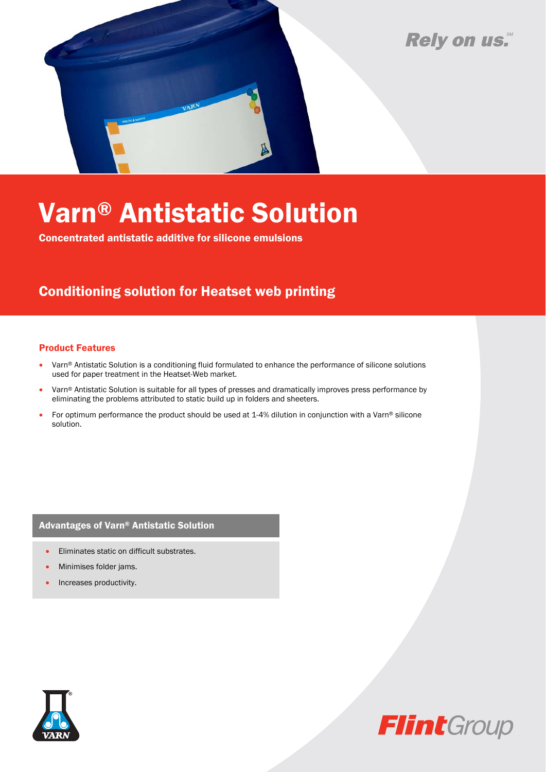## Rely on us.



# Varn® Antistatic Solution

Concentrated antistatic additive for silicone emulsions

### Conditioning solution for Heatset web printing

#### Product Features

- Varn® Antistatic Solution is a conditioning fluid formulated to enhance the performance of silicone solutions used for paper treatment in the Heatset-Web market.
- Varn® Antistatic Solution is suitable for all types of presses and dramatically improves press performance by eliminating the problems attributed to static build up in folders and sheeters.
- For optimum performance the product should be used at 1-4% dilution in conjunction with a Varn® silicone solution.

#### Advantages of Varn® Antistatic Solution

- Eliminates static on difficult substrates.
- Minimises folder jams.
- Increases productivity.